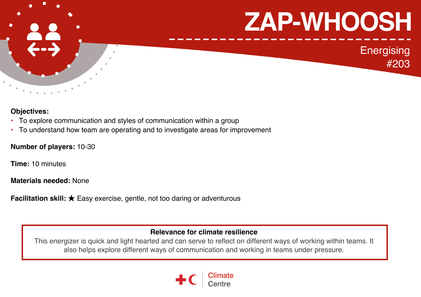

## **Objectives:**

- To explore communication and styles of communication within a group
- To understand how team are operating and to investigate areas for improvement

## **Number of players:** 10-30

**Time:** 10 minutes

**Materials needed:** None

**Facilitation skill:** ★ Easy exercise, gentle, not too daring or adventurous

# **Relevance for climate resilience**

This energizer is quick and light hearted and can serve to reflect on different ways of working within teams. It also helps explore different ways of communication and working in teams under pressure.